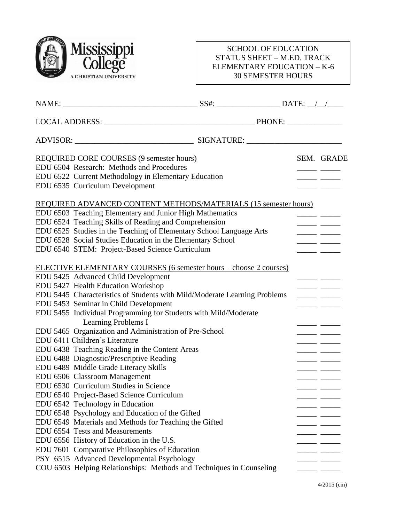

## SCHOOL OF EDUCATION STATUS SHEET – M.ED. TRACK ELEMENTARY EDUCATION – K-6 30 SEMESTER HOURS

|                                                                 | REQUIRED CORE COURSES (9 semester hours)                                  |  |                          | SEM. GRADE |
|-----------------------------------------------------------------|---------------------------------------------------------------------------|--|--------------------------|------------|
|                                                                 | EDU 6504 Research: Methods and Procedures                                 |  |                          |            |
|                                                                 | EDU 6522 Current Methodology in Elementary Education                      |  |                          |            |
|                                                                 | EDU 6535 Curriculum Development                                           |  |                          |            |
| REQUIRED ADVANCED CONTENT METHODS/MATERIALS (15 semester hours) |                                                                           |  |                          |            |
|                                                                 | EDU 6503 Teaching Elementary and Junior High Mathematics                  |  |                          |            |
|                                                                 | EDU 6524 Teaching Skills of Reading and Comprehension                     |  |                          |            |
|                                                                 | EDU 6525 Studies in the Teaching of Elementary School Language Arts       |  | المستنب المستنب          |            |
|                                                                 | EDU 6528 Social Studies Education in the Elementary School                |  |                          |            |
|                                                                 | EDU 6540 STEM: Project-Based Science Curriculum                           |  |                          |            |
|                                                                 | <b>ELECTIVE ELEMENTARY COURSES (6 semester hours - choose 2 courses)</b>  |  |                          |            |
|                                                                 | EDU 5425 Advanced Child Development                                       |  |                          |            |
|                                                                 | EDU 5427 Health Education Workshop                                        |  |                          |            |
|                                                                 | EDU 5445 Characteristics of Students with Mild/Moderate Learning Problems |  |                          |            |
|                                                                 | EDU 5453 Seminar in Child Development                                     |  |                          |            |
|                                                                 | EDU 5455 Individual Programming for Students with Mild/Moderate           |  |                          |            |
|                                                                 | Learning Problems I                                                       |  |                          |            |
|                                                                 | EDU 5465 Organization and Administration of Pre-School                    |  |                          |            |
|                                                                 | EDU 6411 Children's Literature                                            |  |                          |            |
|                                                                 | EDU 6438 Teaching Reading in the Content Areas                            |  |                          |            |
|                                                                 | EDU 6488 Diagnostic/Prescriptive Reading                                  |  |                          |            |
|                                                                 | EDU 6489 Middle Grade Literacy Skills                                     |  |                          |            |
|                                                                 | EDU 6506 Classroom Management                                             |  |                          |            |
|                                                                 | EDU 6530 Curriculum Studies in Science                                    |  |                          |            |
|                                                                 | EDU 6540 Project-Based Science Curriculum                                 |  |                          | ____       |
|                                                                 | EDU 6542 Technology in Education                                          |  |                          |            |
|                                                                 | EDU 6548 Psychology and Education of the Gifted                           |  |                          |            |
|                                                                 | EDU 6549 Materials and Methods for Teaching the Gifted                    |  |                          |            |
|                                                                 | EDU 6554 Tests and Measurements                                           |  |                          |            |
|                                                                 | EDU 6556 History of Education in the U.S.                                 |  |                          |            |
|                                                                 | EDU 7601 Comparative Philosophies of Education                            |  |                          |            |
|                                                                 | PSY 6515 Advanced Developmental Psychology                                |  |                          |            |
|                                                                 | COU 6503 Helping Relationships: Methods and Techniques in Counseling      |  | $\overline{\phantom{a}}$ |            |
|                                                                 |                                                                           |  |                          |            |